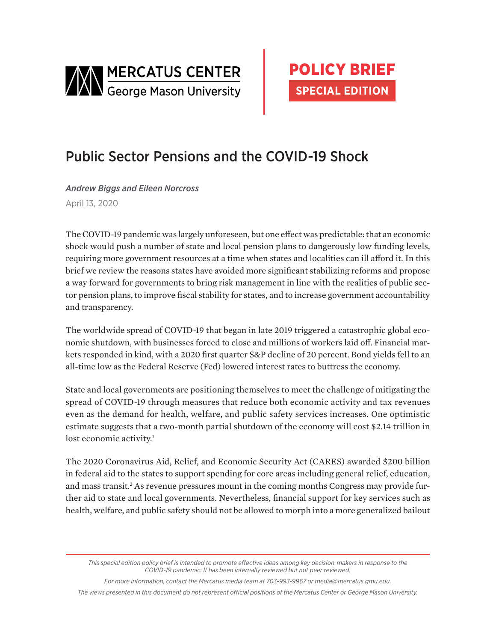



# Public Sector Pensions and the COVID-19 Shock

*Andrew Biggs and Eileen Norcross* April 13, 2020

The COVID-19 pandemic was largely unforeseen, but one effect was predictable: that an economic shock would push a number of state and local pension plans to dangerously low funding levels, requiring more government resources at a time when states and localities can ill afford it. In this brief we review the reasons states have avoided more significant stabilizing reforms and propose a way forward for governments to bring risk management in line with the realities of public sector pension plans, to improve fiscal stability for states, and to increase government accountability and transparency.

The worldwide spread of COVID-19 that began in late 2019 triggered a catastrophic global economic shutdown, with businesses forced to close and millions of workers laid off. Financial markets responded in kind, with a 2020 first quarter S&P decline of 20 percent. Bond yields fell to an all-time low as the Federal Reserve (Fed) lowered interest rates to buttress the economy.

State and local governments are positioning themselves to meet the challenge of mitigating the spread of COVID-19 through measures that reduce both economic activity and tax revenues even as the demand for health, welfare, and public safety services increases. One optimistic estimate suggests that a two-month partial shutdown of the economy will cost \$2.14 trillion in lost economic activity.<sup>1</sup>

The 2020 Coronavirus Aid, Relief, and Economic Security Act (CARES) awarded \$200 billion in federal aid to the states to support spending for core areas including general relief, education, and mass transit.<sup>2</sup> As revenue pressures mount in the coming months Congress may provide further aid to state and local governments. Nevertheless, financial support for key services such as health, welfare, and public safety should not be allowed to morph into a more generalized bailout

*For more information, contact the Mercatus media team at 703-993-9967 or media@mercatus.gmu.edu.*

*The views presented in this document do not represent official positions of the Mercatus Center or George Mason University.*

*This special edition policy brief is intended to promote effective ideas among key decision-makers in response to the COVID-19 pandemic. It has been internally reviewed but not peer reviewed.*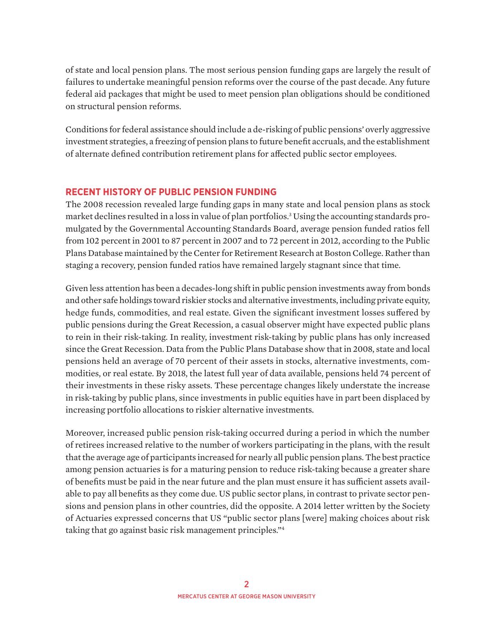of state and local pension plans. The most serious pension funding gaps are largely the result of failures to undertake meaningful pension reforms over the course of the past decade. Any future federal aid packages that might be used to meet pension plan obligations should be conditioned on structural pension reforms.

Conditions for federal assistance should include a de-risking of public pensions' overly aggressive investment strategies, a freezing of pension plans to future benefit accruals, and the establishment of alternate defined contribution retirement plans for affected public sector employees.

## **RECENT HISTORY OF PUBLIC PENSION FUNDING**

The 2008 recession revealed large funding gaps in many state and local pension plans as stock market declines resulted in a loss in value of plan portfolios.3 Using the accounting standards promulgated by the Governmental Accounting Standards Board, average pension funded ratios fell from 102 percent in 2001 to 87 percent in 2007 and to 72 percent in 2012, according to the Public Plans Database maintained by the Center for Retirement Research at Boston College. Rather than staging a recovery, pension funded ratios have remained largely stagnant since that time.

Given less attention has been a decades-long shift in public pension investments away from bonds and other safe holdings toward riskier stocks and alternative investments, including private equity, hedge funds, commodities, and real estate. Given the significant investment losses suffered by public pensions during the Great Recession, a casual observer might have expected public plans to rein in their risk-taking. In reality, investment risk-taking by public plans has only increased since the Great Recession. Data from the Public Plans Database show that in 2008, state and local pensions held an average of 70 percent of their assets in stocks, alternative investments, commodities, or real estate. By 2018, the latest full year of data available, pensions held 74 percent of their investments in these risky assets. These percentage changes likely understate the increase in risk-taking by public plans, since investments in public equities have in part been displaced by increasing portfolio allocations to riskier alternative investments.

Moreover, increased public pension risk-taking occurred during a period in which the number of retirees increased relative to the number of workers participating in the plans, with the result that the average age of participants increased for nearly all public pension plans. The best practice among pension actuaries is for a maturing pension to reduce risk-taking because a greater share of benefits must be paid in the near future and the plan must ensure it has sufficient assets available to pay all benefits as they come due. US public sector plans, in contrast to private sector pensions and pension plans in other countries, did the opposite. A 2014 letter written by the Society of Actuaries expressed concerns that US "public sector plans [were] making choices about risk taking that go against basic risk management principles."4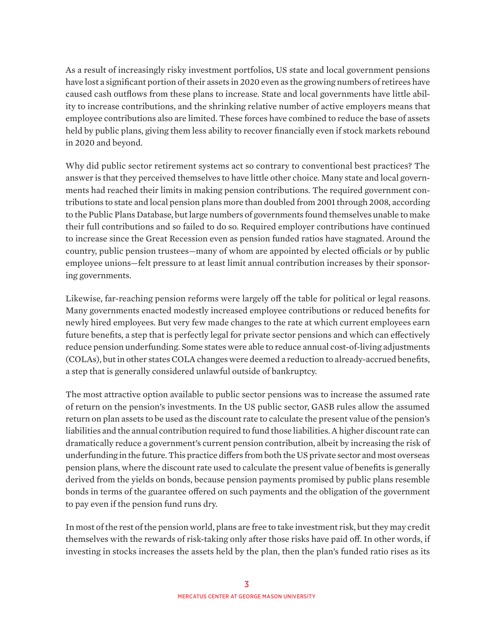As a result of increasingly risky investment portfolios, US state and local government pensions have lost a significant portion of their assets in 2020 even as the growing numbers of retirees have caused cash outflows from these plans to increase. State and local governments have little ability to increase contributions, and the shrinking relative number of active employers means that employee contributions also are limited. These forces have combined to reduce the base of assets held by public plans, giving them less ability to recover financially even if stock markets rebound in 2020 and beyond.

Why did public sector retirement systems act so contrary to conventional best practices? The answer is that they perceived themselves to have little other choice. Many state and local governments had reached their limits in making pension contributions. The required government contributions to state and local pension plans more than doubled from 2001 through 2008, according to the Public Plans Database, but large numbers of governments found themselves unable to make their full contributions and so failed to do so. Required employer contributions have continued to increase since the Great Recession even as pension funded ratios have stagnated. Around the country, public pension trustees—many of whom are appointed by elected officials or by public employee unions—felt pressure to at least limit annual contribution increases by their sponsoring governments.

Likewise, far-reaching pension reforms were largely off the table for political or legal reasons. Many governments enacted modestly increased employee contributions or reduced benefits for newly hired employees. But very few made changes to the rate at which current employees earn future benefits, a step that is perfectly legal for private sector pensions and which can effectively reduce pension underfunding. Some states were able to reduce annual cost-of-living adjustments (COLAs), but in other states COLA changes were deemed a reduction to already-accrued benefits, a step that is generally considered unlawful outside of bankruptcy.

The most attractive option available to public sector pensions was to increase the assumed rate of return on the pension's investments. In the US public sector, GASB rules allow the assumed return on plan assets to be used as the discount rate to calculate the present value of the pension's liabilities and the annual contribution required to fund those liabilities. A higher discount rate can dramatically reduce a government's current pension contribution, albeit by increasing the risk of underfunding in the future. This practice differs from both the US private sector and most overseas pension plans, where the discount rate used to calculate the present value of benefits is generally derived from the yields on bonds, because pension payments promised by public plans resemble bonds in terms of the guarantee offered on such payments and the obligation of the government to pay even if the pension fund runs dry.

In most of the rest of the pension world, plans are free to take investment risk, but they may credit themselves with the rewards of risk-taking only after those risks have paid off. In other words, if investing in stocks increases the assets held by the plan, then the plan's funded ratio rises as its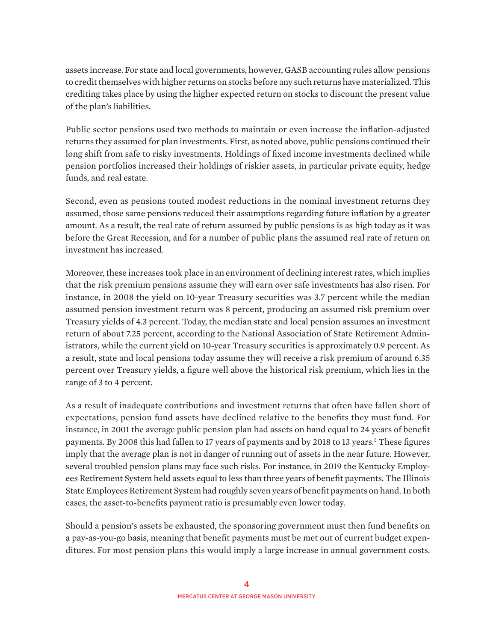assets increase. For state and local governments, however, GASB accounting rules allow pensions to credit themselves with higher returns on stocks before any such returns have materialized. This crediting takes place by using the higher expected return on stocks to discount the present value of the plan's liabilities.

Public sector pensions used two methods to maintain or even increase the inflation-adjusted returns they assumed for plan investments. First, as noted above, public pensions continued their long shift from safe to risky investments. Holdings of fixed income investments declined while pension portfolios increased their holdings of riskier assets, in particular private equity, hedge funds, and real estate.

Second, even as pensions touted modest reductions in the nominal investment returns they assumed, those same pensions reduced their assumptions regarding future inflation by a greater amount. As a result, the real rate of return assumed by public pensions is as high today as it was before the Great Recession, and for a number of public plans the assumed real rate of return on investment has increased.

Moreover, these increases took place in an environment of declining interest rates, which implies that the risk premium pensions assume they will earn over safe investments has also risen. For instance, in 2008 the yield on 10-year Treasury securities was 3.7 percent while the median assumed pension investment return was 8 percent, producing an assumed risk premium over Treasury yields of 4.3 percent. Today, the median state and local pension assumes an investment return of about 7.25 percent, according to the National Association of State Retirement Administrators, while the current yield on 10-year Treasury securities is approximately 0.9 percent. As a result, state and local pensions today assume they will receive a risk premium of around 6.35 percent over Treasury yields, a figure well above the historical risk premium, which lies in the range of 3 to 4 percent.

As a result of inadequate contributions and investment returns that often have fallen short of expectations, pension fund assets have declined relative to the benefits they must fund. For instance, in 2001 the average public pension plan had assets on hand equal to 24 years of benefit payments. By 2008 this had fallen to 17 years of payments and by 2018 to 13 years.<sup>5</sup> These figures imply that the average plan is not in danger of running out of assets in the near future. However, several troubled pension plans may face such risks. For instance, in 2019 the Kentucky Employees Retirement System held assets equal to less than three years of benefit payments. The Illinois State Employees Retirement System had roughly seven years of benefit payments on hand. In both cases, the asset-to-benefits payment ratio is presumably even lower today.

Should a pension's assets be exhausted, the sponsoring government must then fund benefits on a pay-as-you-go basis, meaning that benefit payments must be met out of current budget expenditures. For most pension plans this would imply a large increase in annual government costs.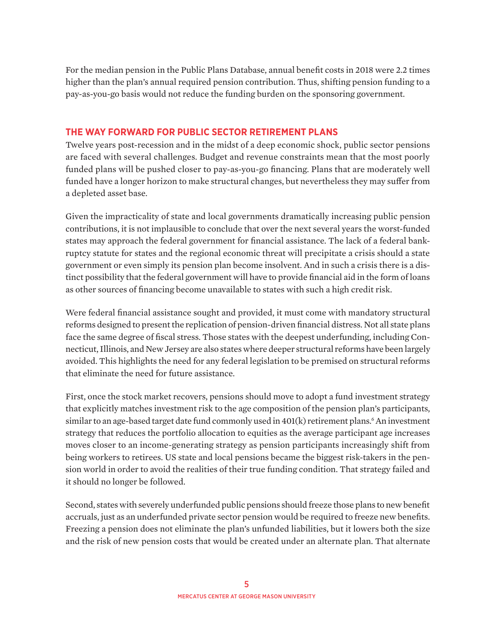For the median pension in the Public Plans Database, annual benefit costs in 2018 were 2.2 times higher than the plan's annual required pension contribution. Thus, shifting pension funding to a pay-as-you-go basis would not reduce the funding burden on the sponsoring government.

# **THE WAY FORWARD FOR PUBLIC SECTOR RETIREMENT PLANS**

Twelve years post-recession and in the midst of a deep economic shock, public sector pensions are faced with several challenges. Budget and revenue constraints mean that the most poorly funded plans will be pushed closer to pay-as-you-go financing. Plans that are moderately well funded have a longer horizon to make structural changes, but nevertheless they may suffer from a depleted asset base.

Given the impracticality of state and local governments dramatically increasing public pension contributions, it is not implausible to conclude that over the next several years the worst-funded states may approach the federal government for financial assistance. The lack of a federal bankruptcy statute for states and the regional economic threat will precipitate a crisis should a state government or even simply its pension plan become insolvent. And in such a crisis there is a distinct possibility that the federal government will have to provide financial aid in the form of loans as other sources of financing become unavailable to states with such a high credit risk.

Were federal financial assistance sought and provided, it must come with mandatory structural reforms designed to present the replication of pension-driven financial distress. Not all state plans face the same degree of fiscal stress. Those states with the deepest underfunding, including Connecticut, Illinois, and New Jersey are also states where deeper structural reforms have been largely avoided. This highlights the need for any federal legislation to be premised on structural reforms that eliminate the need for future assistance.

First, once the stock market recovers, pensions should move to adopt a fund investment strategy that explicitly matches investment risk to the age composition of the pension plan's participants, similar to an age-based target date fund commonly used in 401(k) retirement plans.<sup>6</sup> An investment strategy that reduces the portfolio allocation to equities as the average participant age increases moves closer to an income-generating strategy as pension participants increasingly shift from being workers to retirees. US state and local pensions became the biggest risk-takers in the pension world in order to avoid the realities of their true funding condition. That strategy failed and it should no longer be followed.

Second, states with severely underfunded public pensions should freeze those plans to new benefit accruals, just as an underfunded private sector pension would be required to freeze new benefits. Freezing a pension does not eliminate the plan's unfunded liabilities, but it lowers both the size and the risk of new pension costs that would be created under an alternate plan. That alternate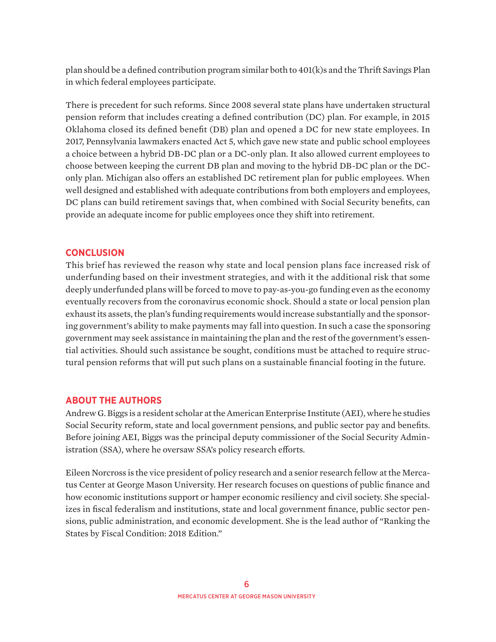plan should be a defined contribution program similar both to 401(k)s and the Thrift Savings Plan in which federal employees participate.

There is precedent for such reforms. Since 2008 several state plans have undertaken structural pension reform that includes creating a defined contribution (DC) plan. For example, in 2015 Oklahoma closed its defined benefit (DB) plan and opened a DC for new state employees. In 2017, Pennsylvania lawmakers enacted Act 5, which gave new state and public school employees a choice between a hybrid DB-DC plan or a DC-only plan. It also allowed current employees to choose between keeping the current DB plan and moving to the hybrid DB-DC plan or the DConly plan. Michigan also offers an established DC retirement plan for public employees. When well designed and established with adequate contributions from both employers and employees, DC plans can build retirement savings that, when combined with Social Security benefits, can provide an adequate income for public employees once they shift into retirement.

### **CONCLUSION**

This brief has reviewed the reason why state and local pension plans face increased risk of underfunding based on their investment strategies, and with it the additional risk that some deeply underfunded plans will be forced to move to pay-as-you-go funding even as the economy eventually recovers from the coronavirus economic shock. Should a state or local pension plan exhaust its assets, the plan's funding requirements would increase substantially and the sponsoring government's ability to make payments may fall into question. In such a case the sponsoring government may seek assistance in maintaining the plan and the rest of the government's essential activities. Should such assistance be sought, conditions must be attached to require structural pension reforms that will put such plans on a sustainable financial footing in the future.

#### **ABOUT THE AUTHORS**

Andrew G. Biggs is a resident scholar at the American Enterprise Institute (AEI), where he studies Social Security reform, state and local government pensions, and public sector pay and benefits. Before joining AEI, Biggs was the principal deputy commissioner of the Social Security Administration (SSA), where he oversaw SSA's policy research efforts.

Eileen Norcross is the vice president of policy research and a senior research fellow at the Mercatus Center at George Mason University. Her research focuses on questions of public finance and how economic institutions support or hamper economic resiliency and civil society. She specializes in fiscal federalism and institutions, state and local government finance, public sector pensions, public administration, and economic development. She is the lead author of "Ranking the States by Fiscal Condition: 2018 Edition."